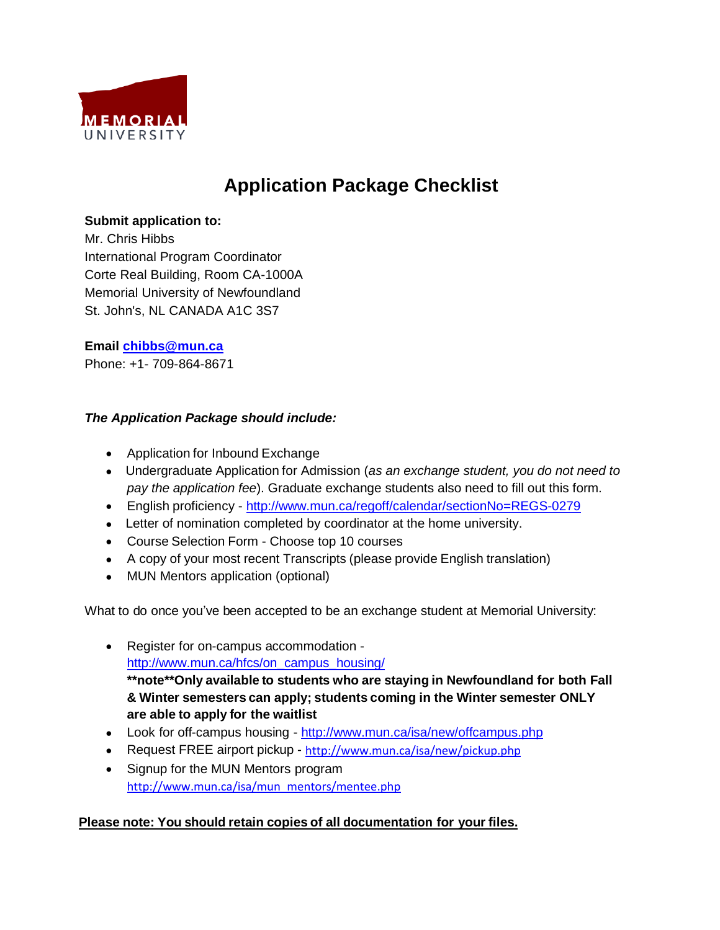

# **Application Package Checklist**

## **Submit application to:**

Mr. Chris Hibbs International Program Coordinator Corte Real Building, Room CA-1000A Memorial University of Newfoundland St. John's, NL CANADA A1C 3S7

## **Email [chibbs@mun.ca](mailto:chibbs@mun.ca)**

Phone: +1- 709-864-8671

## *The Application Package should include:*

- Application for Inbound Exchange
- Undergraduate Application for Admission (*as an exchange student, you do not need to pay the application fee*). Graduate exchange students also need to fill out this form.
- English proficiency <http://www.mun.ca/regoff/calendar/sectionNo=REGS-0279>
- Letter of nomination completed by coordinator at the home university.
- Course Selection Form Choose top 10 courses
- A copy of your most recent Transcripts (please provide English translation)
- MUN Mentors application (optional)

What to do once you've been accepted to be an exchange student at Memorial University:

- Register for on-campus accommodation http://www.mun.ca/hfcs/on\_campus\_housing/ **\*\*note\*\*Only available to students who are staying in Newfoundland for both Fall & Winter semesters can apply; students coming in the Winter semester ONLY are able to apply for the waitlist**
- Look for off-campus housing <http://www.mun.ca/isa/new/offcampus.php>
- Request FREE airport pickup <http://www.mun.ca/isa/new/pickup.php>
- Signup for the MUN Mentors program [http://www.mun.ca/isa/mun\\_mentors/mentee.php](http://www.mun.ca/isa/mun_mentors/mentee.php)

## **Please note: You should retain copies of all documentation for your files.**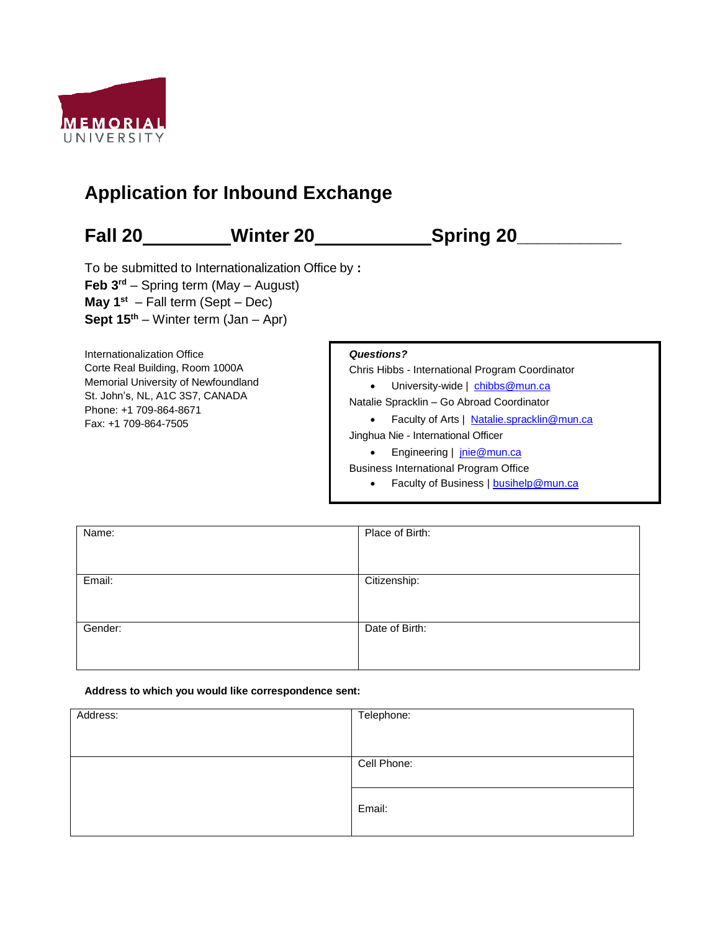

# **Application for Inbound Exchange**

### **Fall 20 Winter 20 Spring 20\_\_\_\_\_\_\_\_\_\_**  To be submitted to Internationalization Office by **: Feb 3rd** – Spring term (May – August) **May 1st** – Fall term (Sept – Dec) **Sept 15th** – Winter term (Jan – Apr) Internationalization Office Corte Real Building, Room 1000A Memorial University of Newfoundland St. John's, NL, A1C 3S7, CANADA Phone: +1 709-864-8671 Fax: +1 709-864-7505 *Questions?* Chris Hibbs - International Program Coordinator • University-wide | [chibbs@mun.ca](mailto:chibbs@mun.ca) Natalie Spracklin – Go Abroad Coordinator • Faculty of Arts | Natalie.spracklin@mun.ca Jinghua Nie - International Officer • Engineering | [jnie@mun.ca](mailto:jnie@mun.ca) Business International Program Office • Faculty of Business | [busihelp@mun.ca](mailto:busihelp@mun.ca)

| Name:   | Place of Birth: |
|---------|-----------------|
|         |                 |
| Email:  | Citizenship:    |
|         |                 |
| Gender: | Date of Birth:  |
|         |                 |

### **Address to which you would like correspondence sent:**

| Address: | Telephone:  |
|----------|-------------|
|          |             |
|          |             |
|          | Cell Phone: |
|          |             |
|          |             |
|          | Email:      |
|          |             |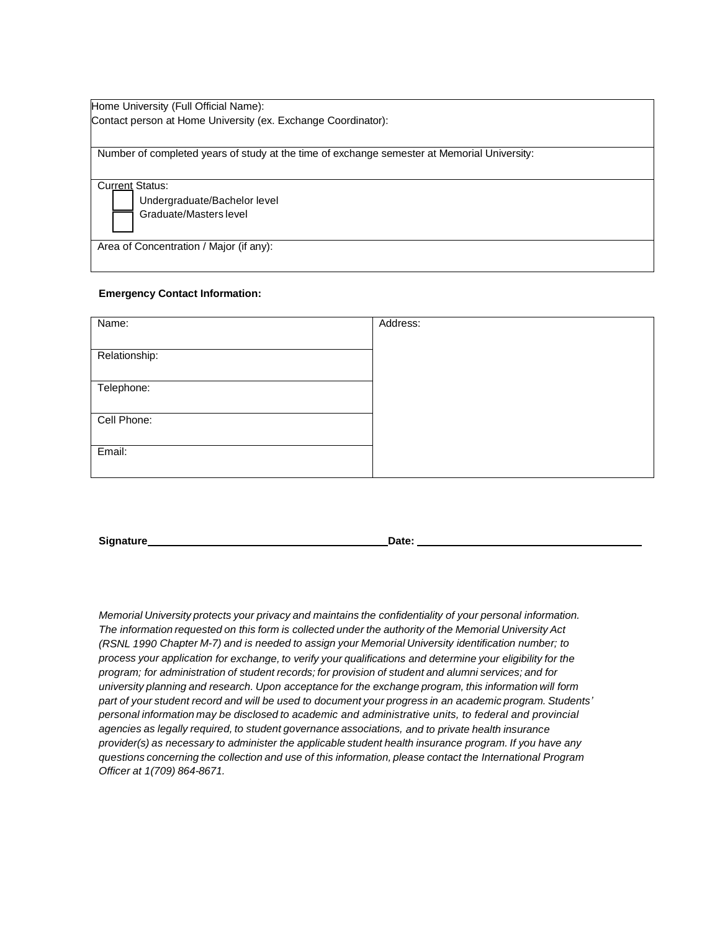| Home University (Full Official Name):                                                       |  |
|---------------------------------------------------------------------------------------------|--|
| Contact person at Home University (ex. Exchange Coordinator):                               |  |
|                                                                                             |  |
| Number of completed years of study at the time of exchange semester at Memorial University: |  |
|                                                                                             |  |
| <b>Current Status:</b>                                                                      |  |
| Undergraduate/Bachelor level                                                                |  |
| Graduate/Masters level                                                                      |  |
| Area of Concentration / Major (if any):                                                     |  |
|                                                                                             |  |
|                                                                                             |  |

### **Emergency Contact Information:**

| Name:         | Address: |
|---------------|----------|
|               |          |
| Relationship: |          |
|               |          |
| Telephone:    |          |
|               |          |
| Cell Phone:   |          |
|               |          |
| Email:        |          |
|               |          |

**Signature Date: Date: Date: Date: Date: Date: Date: Date: Date: Date: Date: Date: Date: Date: Date: Date: Date: Date: Date: Date: Date: Date: Date: Date: Date: Date: D** 

*Memorial University protects your privacy and maintains the confidentiality of your personal information. The information requested on this form is collected under the authority of the Memorial University Act (RSNL 1990 Chapter M-7) and is needed to assign your Memorial University identification number; to process your application for exchange, to verify your qualifications and determine your eligibility for the program; for administration of student records; for provision of student and alumni services; and for university planning and research. Upon acceptance for the exchange program, this information will form part of your student record and will be used to document your progress in an academic program. Students' personal information may be disclosed to academic and administrative units, to federal and provincial agencies as legally required, to student governance associations, and to private health insurance provider(s) as necessary to administer the applicable student health insurance program. If you have any questions concerning the collection and use of this information, please contact the International Program Officer at 1(709) 864-8671.*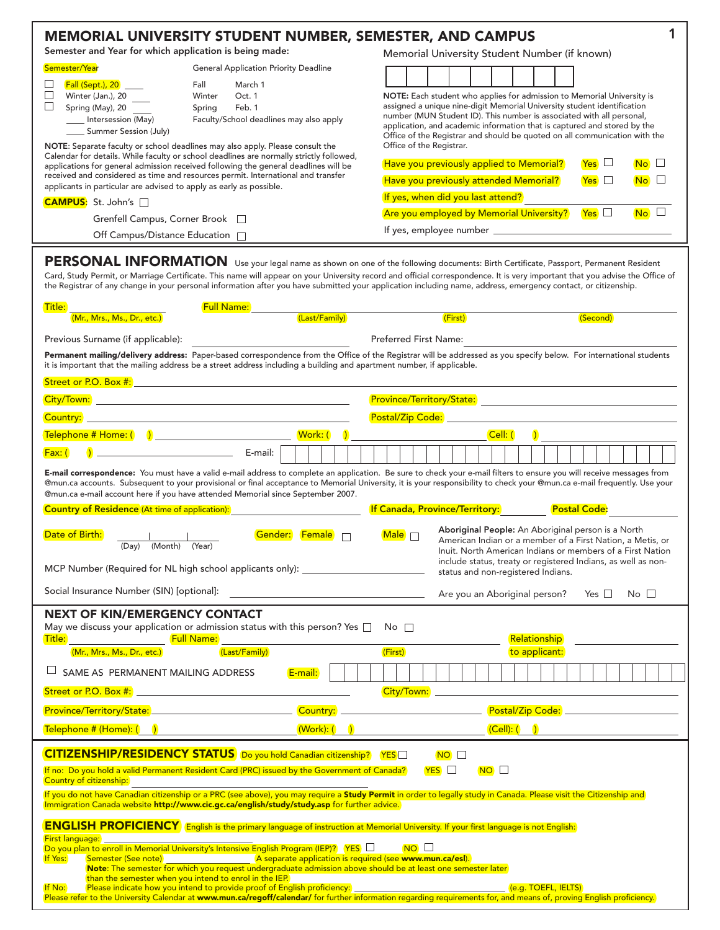| <b>MEMORIAL UNIVERSITY STUDENT NUMBER, SEMESTER, AND CAMPUS</b>                                                                                                                                                                                                                                                                                                                                                                                                                                                                                                                                       |                                                                                                                      |                                                                        |                                                                                                                                                                   |  |  |  |  |  |  |  |
|-------------------------------------------------------------------------------------------------------------------------------------------------------------------------------------------------------------------------------------------------------------------------------------------------------------------------------------------------------------------------------------------------------------------------------------------------------------------------------------------------------------------------------------------------------------------------------------------------------|----------------------------------------------------------------------------------------------------------------------|------------------------------------------------------------------------|-------------------------------------------------------------------------------------------------------------------------------------------------------------------|--|--|--|--|--|--|--|
| Semester and Year for which application is being made:                                                                                                                                                                                                                                                                                                                                                                                                                                                                                                                                                |                                                                                                                      | Memorial University Student Number (if known)                          |                                                                                                                                                                   |  |  |  |  |  |  |  |
| Semester/Year<br><b>General Application Priority Deadline</b>                                                                                                                                                                                                                                                                                                                                                                                                                                                                                                                                         |                                                                                                                      |                                                                        |                                                                                                                                                                   |  |  |  |  |  |  |  |
| Fall (Sept.), 20 _____<br>Fall<br>March 1<br>□<br>Winter<br>Oct. 1                                                                                                                                                                                                                                                                                                                                                                                                                                                                                                                                    |                                                                                                                      | NOTE: Each student who applies for admission to Memorial University is |                                                                                                                                                                   |  |  |  |  |  |  |  |
| Spring (May), 20<br>Spring<br>Feb. 1                                                                                                                                                                                                                                                                                                                                                                                                                                                                                                                                                                  |                                                                                                                      |                                                                        | assigned a unique nine-digit Memorial University student identification<br>number (MUN Student ID). This number is associated with all personal,                  |  |  |  |  |  |  |  |
| Intersession (May)<br>Faculty/School deadlines may also apply<br>_____ Summer Session (July)                                                                                                                                                                                                                                                                                                                                                                                                                                                                                                          |                                                                                                                      |                                                                        | application, and academic information that is captured and stored by the                                                                                          |  |  |  |  |  |  |  |
| NOTE: Separate faculty or school deadlines may also apply. Please consult the                                                                                                                                                                                                                                                                                                                                                                                                                                                                                                                         |                                                                                                                      | Office of the Registrar.                                               | Office of the Registrar and should be quoted on all communication with the                                                                                        |  |  |  |  |  |  |  |
| Calendar for details. While faculty or school deadlines are normally strictly followed,<br>applications for general admission received following the general deadlines will be                                                                                                                                                                                                                                                                                                                                                                                                                        |                                                                                                                      |                                                                        | Have you previously applied to Memorial?<br>$Yes$ $\Box$<br>$\overline{\mathsf{No}}$ $\Box$                                                                       |  |  |  |  |  |  |  |
| received and considered as time and resources permit. International and transfer<br>applicants in particular are advised to apply as early as possible.                                                                                                                                                                                                                                                                                                                                                                                                                                               |                                                                                                                      |                                                                        | Have you previously attended Memorial?<br>$Yes$ $\square$<br><b>No</b>                                                                                            |  |  |  |  |  |  |  |
| CAMPUS: St. John's □                                                                                                                                                                                                                                                                                                                                                                                                                                                                                                                                                                                  |                                                                                                                      |                                                                        | If yes, when did you last attend?                                                                                                                                 |  |  |  |  |  |  |  |
| Grenfell Campus, Corner Brook                                                                                                                                                                                                                                                                                                                                                                                                                                                                                                                                                                         |                                                                                                                      |                                                                        | $Yes$ $\square$<br>No <sup>2</sup><br>Are you employed by Memorial University?                                                                                    |  |  |  |  |  |  |  |
| Off Campus/Distance Education <sup>1</sup>                                                                                                                                                                                                                                                                                                                                                                                                                                                                                                                                                            |                                                                                                                      |                                                                        |                                                                                                                                                                   |  |  |  |  |  |  |  |
| PERSONAL INFORMATION Use your legal name as shown on one of the following documents: Birth Certificate, Passport, Permanent Resident<br>Card, Study Permit, or Marriage Certificate. This name will appear on your University record and official correspondence. It is very important that you advise the Office of<br>the Registrar of any change in your personal information after you have submitted your application including name, address, emergency contact, or citizenship.<br>Full Name: <u>Cast/Family</u><br>Title:<br>(Mr., Mrs., Ms., Dr., etc.)<br>Previous Surname (if applicable): |                                                                                                                      | Preferred First Name:                                                  | (First)<br>(Second)                                                                                                                                               |  |  |  |  |  |  |  |
| Permanent mailing/delivery address: Paper-based correspondence from the Office of the Registrar will be addressed as you specify below. For international students<br>it is important that the mailing address be a street address including a building and apartment number, if applicable.                                                                                                                                                                                                                                                                                                          |                                                                                                                      |                                                                        |                                                                                                                                                                   |  |  |  |  |  |  |  |
|                                                                                                                                                                                                                                                                                                                                                                                                                                                                                                                                                                                                       |                                                                                                                      |                                                                        |                                                                                                                                                                   |  |  |  |  |  |  |  |
|                                                                                                                                                                                                                                                                                                                                                                                                                                                                                                                                                                                                       |                                                                                                                      |                                                                        |                                                                                                                                                                   |  |  |  |  |  |  |  |
|                                                                                                                                                                                                                                                                                                                                                                                                                                                                                                                                                                                                       |                                                                                                                      |                                                                        |                                                                                                                                                                   |  |  |  |  |  |  |  |
|                                                                                                                                                                                                                                                                                                                                                                                                                                                                                                                                                                                                       |                                                                                                                      |                                                                        | Cell: (                                                                                                                                                           |  |  |  |  |  |  |  |
| $\bigcirc$ E-mail: $\bigcirc$<br>$Fax:$ (<br>E-mail correspondence: You must have a valid e-mail address to complete an application. Be sure to check your e-mail filters to ensure you will receive messages from<br>@mun.ca accounts. Subsequent to your provisional or final acceptance to Memorial University, it is your responsibility to check your @mun.ca e-mail frequently. Use your<br>@mun.ca e-mail account here if you have attended Memorial since September 2007.<br><b>Country of Residence</b> (At time of application):                                                            |                                                                                                                      |                                                                        | <b>If Canada, Province/Territory:</b> Postal Code:                                                                                                                |  |  |  |  |  |  |  |
|                                                                                                                                                                                                                                                                                                                                                                                                                                                                                                                                                                                                       |                                                                                                                      |                                                                        | Aboriginal People: An Aboriginal person is a North                                                                                                                |  |  |  |  |  |  |  |
| Date of Birth:<br>Gender:<br>(Day) (Month) (Year)                                                                                                                                                                                                                                                                                                                                                                                                                                                                                                                                                     | <b>Female</b>                                                                                                        | Male <sub>D</sub>                                                      | American Indian or a member of a First Nation, a Metis, or                                                                                                        |  |  |  |  |  |  |  |
| MCP Number (Required for NL high school applicants only):                                                                                                                                                                                                                                                                                                                                                                                                                                                                                                                                             |                                                                                                                      |                                                                        | Inuit. North American Indians or members of a First Nation<br>include status, treaty or registered Indians, as well as non-<br>status and non-registered Indians. |  |  |  |  |  |  |  |
| Social Insurance Number (SIN) [optional]:                                                                                                                                                                                                                                                                                                                                                                                                                                                                                                                                                             | <u> 1980 - Jan Stein Bernstein, mars and der Stein Bernstein und der Stein Bernstein und der Stein Bernstein und</u> |                                                                        | No $\square$<br>Are you an Aboriginal person?<br>Yes $\Box$                                                                                                       |  |  |  |  |  |  |  |
| <b>NEXT OF KIN/EMERGENCY CONTACT</b><br>May we discuss your application or admission status with this person? Yes $\square$ No $\square$<br>Title: _______________________ Full Name:                                                                                                                                                                                                                                                                                                                                                                                                                 |                                                                                                                      |                                                                        | Relationship                                                                                                                                                      |  |  |  |  |  |  |  |
| (Last/Family)<br>(Mr., Mrs., Ms., Dr., etc.)                                                                                                                                                                                                                                                                                                                                                                                                                                                                                                                                                          |                                                                                                                      | (First)                                                                | to applicant:                                                                                                                                                     |  |  |  |  |  |  |  |
| SAME AS PERMANENT MAILING ADDRESS                                                                                                                                                                                                                                                                                                                                                                                                                                                                                                                                                                     | E-mail:                                                                                                              |                                                                        |                                                                                                                                                                   |  |  |  |  |  |  |  |
|                                                                                                                                                                                                                                                                                                                                                                                                                                                                                                                                                                                                       |                                                                                                                      |                                                                        | City/Town: 2008 2009 2010 2010 2010 2010 2010 2011 2022 2023 2024 2022 2023 2024 2022 2023 2024 2022 2023 2024                                                    |  |  |  |  |  |  |  |
| Province/Territory/State: __________________________________ Country:                                                                                                                                                                                                                                                                                                                                                                                                                                                                                                                                 |                                                                                                                      |                                                                        |                                                                                                                                                                   |  |  |  |  |  |  |  |
| <mark>Telephone # (Home): ( )</mark>                                                                                                                                                                                                                                                                                                                                                                                                                                                                                                                                                                  | (Work): (                                                                                                            |                                                                        | (Cell): ( )                                                                                                                                                       |  |  |  |  |  |  |  |
| <b>CITIZENSHIP/RESIDENCY STATUS</b> Do you hold Canadian citizenship? YES<br>If no: Do you hold a valid Permanent Resident Card (PRC) issued by the Government of Canada?<br>Country of citizenship:                                                                                                                                                                                                                                                                                                                                                                                                  |                                                                                                                      | $YES$ $\Box$                                                           | $NO$ $\Box$<br>$NO$ $\Box$                                                                                                                                        |  |  |  |  |  |  |  |
| If you do not have Canadian citizenship or a PRC (see above), you may require a <b>Study Permit</b> in order to legally study in Canada. Please visit the Citizenship and<br>Immigration Canada website http://www.cic.gc.ca/english/study/study.asp for further advice.                                                                                                                                                                                                                                                                                                                              |                                                                                                                      |                                                                        |                                                                                                                                                                   |  |  |  |  |  |  |  |
| <b>ENGLISH PROFICIENCY</b> English is the primary language of instruction at Memorial University. If your first language is not English:                                                                                                                                                                                                                                                                                                                                                                                                                                                              |                                                                                                                      |                                                                        |                                                                                                                                                                   |  |  |  |  |  |  |  |
| First language:<br>nnet tanguage.<br>Do you plan to enroll in Memorial University's Intensive English Program (IEP)? YES □                                                                                                                                                                                                                                                                                                                                                                                                                                                                            |                                                                                                                      | $NO$ $\Box$                                                            |                                                                                                                                                                   |  |  |  |  |  |  |  |
| If Yes:                                                                                                                                                                                                                                                                                                                                                                                                                                                                                                                                                                                               |                                                                                                                      |                                                                        |                                                                                                                                                                   |  |  |  |  |  |  |  |
| than the semester when you intend to enrol in the IEP.                                                                                                                                                                                                                                                                                                                                                                                                                                                                                                                                                |                                                                                                                      |                                                                        |                                                                                                                                                                   |  |  |  |  |  |  |  |
| If No: Please indicate how you intend to provide proof of English proficiency: [1] (1] [1] (e.g. TOEFL, IELTS)<br>Please refer to the University Calendar at www.mun.ca/regoff/calendar/ for further information regarding requir                                                                                                                                                                                                                                                                                                                                                                     |                                                                                                                      |                                                                        |                                                                                                                                                                   |  |  |  |  |  |  |  |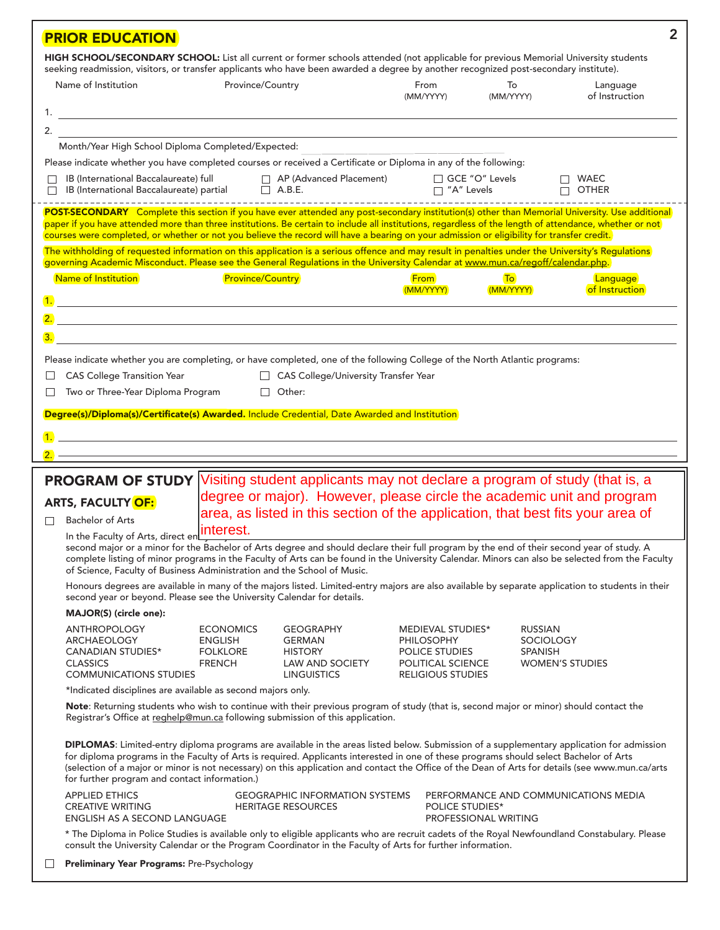| <b>PRIOR EDUCATION</b>                                                                                                                                                                                                                                                                                                                                                                                                                                   |                                                                        |                                                                                                     |                                                                                                           |                                  | $\overline{2}$                                                                                                                                                                                                                                                                                |
|----------------------------------------------------------------------------------------------------------------------------------------------------------------------------------------------------------------------------------------------------------------------------------------------------------------------------------------------------------------------------------------------------------------------------------------------------------|------------------------------------------------------------------------|-----------------------------------------------------------------------------------------------------|-----------------------------------------------------------------------------------------------------------|----------------------------------|-----------------------------------------------------------------------------------------------------------------------------------------------------------------------------------------------------------------------------------------------------------------------------------------------|
| HIGH SCHOOL/SECONDARY SCHOOL: List all current or former schools attended (not applicable for previous Memorial University students<br>seeking readmission, visitors, or transfer applicants who have been awarded a degree by another recognized post-secondary institute).                                                                                                                                                                             |                                                                        |                                                                                                     |                                                                                                           |                                  |                                                                                                                                                                                                                                                                                               |
| Name of Institution                                                                                                                                                                                                                                                                                                                                                                                                                                      | Province/Country                                                       |                                                                                                     | From<br>(MM/YYYY)                                                                                         | To<br>(MM/YYYY)                  | Language<br>of Instruction                                                                                                                                                                                                                                                                    |
|                                                                                                                                                                                                                                                                                                                                                                                                                                                          |                                                                        |                                                                                                     |                                                                                                           |                                  |                                                                                                                                                                                                                                                                                               |
| $\overline{2}$ .                                                                                                                                                                                                                                                                                                                                                                                                                                         |                                                                        |                                                                                                     |                                                                                                           |                                  |                                                                                                                                                                                                                                                                                               |
| Month/Year High School Diploma Completed/Expected:                                                                                                                                                                                                                                                                                                                                                                                                       |                                                                        |                                                                                                     |                                                                                                           |                                  |                                                                                                                                                                                                                                                                                               |
| Please indicate whether you have completed courses or received a Certificate or Diploma in any of the following:                                                                                                                                                                                                                                                                                                                                         |                                                                        |                                                                                                     |                                                                                                           |                                  |                                                                                                                                                                                                                                                                                               |
| IB (International Baccalaureate) full AP (Advanced Placement)                                                                                                                                                                                                                                                                                                                                                                                            |                                                                        |                                                                                                     | □ GCE "O" Levels                                                                                          |                                  | $\Box$ WAEC<br>□ "A" Levels □ OTHER                                                                                                                                                                                                                                                           |
| POST-SECONDARY Complete this section if you have ever attended any post-secondary institution(s) other than Memorial University. Use additional<br>paper if you have attended more than three institutions. Be certain to include all institutions, regardless of the length of attendance, whether or not<br>courses were completed, or whether or not you believe the record will have a bearing on your admission or eligibility for transfer credit. |                                                                        |                                                                                                     |                                                                                                           |                                  |                                                                                                                                                                                                                                                                                               |
| The withholding of requested information on this application is a serious offence and may result in penalties under the University's Regulations<br>governing Academic Misconduct. Please see the General Regulations in the University Calendar at www.mun.ca/regoff/calendar.php.                                                                                                                                                                      |                                                                        |                                                                                                     |                                                                                                           |                                  |                                                                                                                                                                                                                                                                                               |
| Name of Institution                                                                                                                                                                                                                                                                                                                                                                                                                                      | <b>Province/Country</b>                                                |                                                                                                     | <b>From</b><br>(MM/YYYY)                                                                                  | $\overline{10}$<br>(MM/YYYY)     | Language<br>of Instruction                                                                                                                                                                                                                                                                    |
|                                                                                                                                                                                                                                                                                                                                                                                                                                                          |                                                                        |                                                                                                     |                                                                                                           |                                  |                                                                                                                                                                                                                                                                                               |
|                                                                                                                                                                                                                                                                                                                                                                                                                                                          |                                                                        |                                                                                                     |                                                                                                           |                                  |                                                                                                                                                                                                                                                                                               |
| Please indicate whether you are completing, or have completed, one of the following College of the North Atlantic programs:                                                                                                                                                                                                                                                                                                                              |                                                                        |                                                                                                     |                                                                                                           |                                  |                                                                                                                                                                                                                                                                                               |
| <b>CAS College Transition Year</b><br>ப                                                                                                                                                                                                                                                                                                                                                                                                                  |                                                                        | CAS College/University Transfer Year                                                                |                                                                                                           |                                  |                                                                                                                                                                                                                                                                                               |
| Two or Three-Year Diploma Program                                                                                                                                                                                                                                                                                                                                                                                                                        |                                                                        | $\Box$ Other:                                                                                       |                                                                                                           |                                  |                                                                                                                                                                                                                                                                                               |
| Degree(s)/Diploma(s)/Certificate(s) Awarded. Include Credential, Date Awarded and Institution                                                                                                                                                                                                                                                                                                                                                            |                                                                        |                                                                                                     |                                                                                                           |                                  |                                                                                                                                                                                                                                                                                               |
| $\overline{1}$ . The contract of the contract of the contract of the contract of the contract of the contract of the contract of the contract of the contract of the contract of the contract of the contract of the contract of the                                                                                                                                                                                                                     |                                                                        |                                                                                                     |                                                                                                           |                                  |                                                                                                                                                                                                                                                                                               |
|                                                                                                                                                                                                                                                                                                                                                                                                                                                          |                                                                        |                                                                                                     |                                                                                                           |                                  |                                                                                                                                                                                                                                                                                               |
|                                                                                                                                                                                                                                                                                                                                                                                                                                                          |                                                                        |                                                                                                     |                                                                                                           |                                  |                                                                                                                                                                                                                                                                                               |
| <b>PROGRAM OF STUDY</b>                                                                                                                                                                                                                                                                                                                                                                                                                                  |                                                                        |                                                                                                     |                                                                                                           |                                  | Visiting student applicants may not declare a program of study (that is, a                                                                                                                                                                                                                    |
| <b>ARTS, FACULTY OF:</b>                                                                                                                                                                                                                                                                                                                                                                                                                                 |                                                                        |                                                                                                     |                                                                                                           |                                  | degree or major). However, please circle the academic unit and program                                                                                                                                                                                                                        |
| <b>Bachelor of Arts</b><br>П                                                                                                                                                                                                                                                                                                                                                                                                                             |                                                                        |                                                                                                     |                                                                                                           |                                  | area, as listed in this section of the application, that best fits your area of                                                                                                                                                                                                               |
| In the Faculty of Arts, direct en                                                                                                                                                                                                                                                                                                                                                                                                                        | interest.                                                              |                                                                                                     |                                                                                                           |                                  |                                                                                                                                                                                                                                                                                               |
| second major or a minor for the Bachelor of Arts degree and should declare their full program by the end of their second year of study. A<br>of Science, Faculty of Business Administration and the School of Music.                                                                                                                                                                                                                                     |                                                                        |                                                                                                     |                                                                                                           |                                  | complete listing of minor programs in the Faculty of Arts can be found in the University Calendar. Minors can also be selected from the Faculty                                                                                                                                               |
| second year or beyond. Please see the University Calendar for details.                                                                                                                                                                                                                                                                                                                                                                                   |                                                                        |                                                                                                     |                                                                                                           |                                  | Honours degrees are available in many of the majors listed. Limited-entry majors are also available by separate application to students in their                                                                                                                                              |
| MAJOR(S) (circle one):                                                                                                                                                                                                                                                                                                                                                                                                                                   |                                                                        |                                                                                                     |                                                                                                           |                                  |                                                                                                                                                                                                                                                                                               |
| <b>ANTHROPOLOGY</b><br>ARCHAEOLOGY<br><b>CANADIAN STUDIES*</b><br><b>CLASSICS</b><br><b>COMMUNICATIONS STUDIES</b>                                                                                                                                                                                                                                                                                                                                       | <b>ECONOMICS</b><br><b>ENGLISH</b><br><b>FOLKLORE</b><br><b>FRENCH</b> | <b>GEOGRAPHY</b><br><b>GERMAN</b><br><b>HISTORY</b><br><b>LAW AND SOCIETY</b><br><b>LINGUISTICS</b> | MEDIEVAL STUDIES*<br><b>PHILOSOPHY</b><br>POLICE STUDIES<br>POLITICAL SCIENCE<br><b>RELIGIOUS STUDIES</b> | <b>RUSSIAN</b><br><b>SPANISH</b> | <b>SOCIOLOGY</b><br><b>WOMEN'S STUDIES</b>                                                                                                                                                                                                                                                    |
| *Indicated disciplines are available as second majors only.                                                                                                                                                                                                                                                                                                                                                                                              |                                                                        |                                                                                                     |                                                                                                           |                                  |                                                                                                                                                                                                                                                                                               |
| Note: Returning students who wish to continue with their previous program of study (that is, second major or minor) should contact the<br>Registrar's Office at reghelp@mun.ca following submission of this application.                                                                                                                                                                                                                                 |                                                                        |                                                                                                     |                                                                                                           |                                  |                                                                                                                                                                                                                                                                                               |
| for diploma programs in the Faculty of Arts is required. Applicants interested in one of these programs should select Bachelor of Arts<br>for further program and contact information.)                                                                                                                                                                                                                                                                  |                                                                        |                                                                                                     |                                                                                                           |                                  | DIPLOMAS: Limited-entry diploma programs are available in the areas listed below. Submission of a supplementary application for admission<br>(selection of a major or minor is not necessary) on this application and contact the Office of the Dean of Arts for details (see www.mun.ca/arts |
| <b>APPLIED ETHICS</b><br><b>CREATIVE WRITING</b><br>ENGLISH AS A SECOND LANGUAGE                                                                                                                                                                                                                                                                                                                                                                         |                                                                        | <b>GEOGRAPHIC INFORMATION SYSTEMS</b><br><b>HERITAGE RESOURCES</b>                                  | <b>POLICE STUDIES*</b>                                                                                    | PROFESSIONAL WRITING             | PERFORMANCE AND COMMUNICATIONS MEDIA                                                                                                                                                                                                                                                          |
| consult the University Calendar or the Program Coordinator in the Faculty of Arts for further information.                                                                                                                                                                                                                                                                                                                                               |                                                                        |                                                                                                     |                                                                                                           |                                  | * The Diploma in Police Studies is available only to eligible applicants who are recruit cadets of the Royal Newfoundland Constabulary. Please                                                                                                                                                |
|                                                                                                                                                                                                                                                                                                                                                                                                                                                          |                                                                        |                                                                                                     |                                                                                                           |                                  |                                                                                                                                                                                                                                                                                               |

**Preliminary Year Programs:** Pre-Psychology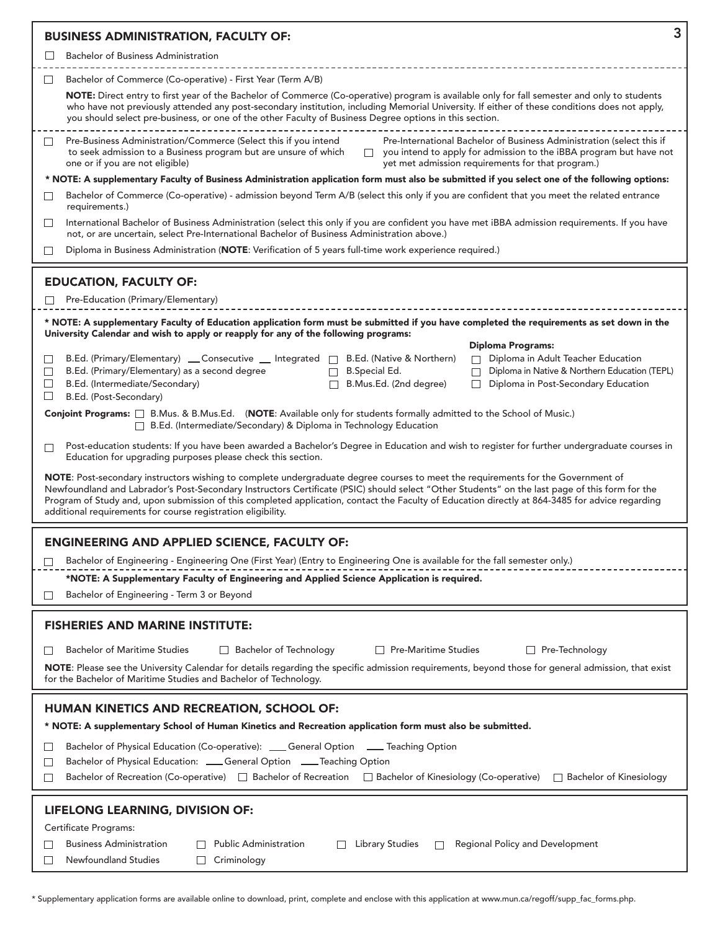|                            | 3<br><b>BUSINESS ADMINISTRATION, FACULTY OF:</b>                                                                                                                                                                                                                                                                                                                                                                                                                                                                         |
|----------------------------|--------------------------------------------------------------------------------------------------------------------------------------------------------------------------------------------------------------------------------------------------------------------------------------------------------------------------------------------------------------------------------------------------------------------------------------------------------------------------------------------------------------------------|
|                            | <b>Bachelor of Business Administration</b>                                                                                                                                                                                                                                                                                                                                                                                                                                                                               |
| ⊔                          | Bachelor of Commerce (Co-operative) - First Year (Term A/B)                                                                                                                                                                                                                                                                                                                                                                                                                                                              |
|                            | NOTE: Direct entry to first year of the Bachelor of Commerce (Co-operative) program is available only for fall semester and only to students<br>who have not previously attended any post-secondary institution, including Memorial University. If either of these conditions does not apply,<br>you should select pre-business, or one of the other Faculty of Business Degree options in this section.                                                                                                                 |
| $\Box$                     | Pre-Business Administration/Commerce (Select this if you intend<br>Pre-International Bachelor of Business Administration (select this if<br>to seek admission to a Business program but are unsure of which<br>you intend to apply for admission to the iBBA program but have not<br>$\Box$<br>one or if you are not eligible)<br>yet met admission requirements for that program.)                                                                                                                                      |
|                            | * NOTE: A supplementary Faculty of Business Administration application form must also be submitted if you select one of the following options:                                                                                                                                                                                                                                                                                                                                                                           |
| $\perp$                    | Bachelor of Commerce (Co-operative) - admission beyond Term A/B (select this only if you are confident that you meet the related entrance<br>requirements.)                                                                                                                                                                                                                                                                                                                                                              |
| $\Box$                     | International Bachelor of Business Administration (select this only if you are confident you have met iBBA admission requirements. If you have<br>not, or are uncertain, select Pre-International Bachelor of Business Administration above.)                                                                                                                                                                                                                                                                            |
| $\Box$                     | Diploma in Business Administration (NOTE: Verification of 5 years full-time work experience required.)                                                                                                                                                                                                                                                                                                                                                                                                                   |
|                            | <b>EDUCATION, FACULTY OF:</b>                                                                                                                                                                                                                                                                                                                                                                                                                                                                                            |
| ப                          | Pre-Education (Primary/Elementary)                                                                                                                                                                                                                                                                                                                                                                                                                                                                                       |
|                            | * NOTE: A supplementary Faculty of Education application form must be submitted if you have completed the requirements as set down in the                                                                                                                                                                                                                                                                                                                                                                                |
| ⊔<br>$\Box$<br>$\Box$<br>ப | University Calendar and wish to apply or reapply for any of the following programs:<br><b>Diploma Programs:</b><br>B.Ed. (Primary/Elementary) _ Consecutive _ Integrated  <br>B.Ed. (Native & Northern)<br>Diploma in Adult Teacher Education<br>B.Ed. (Primary/Elementary) as a second degree<br><b>B.Special Ed.</b><br>Diploma in Native & Northern Education (TEPL)<br>$\Box$<br>B.Ed. (Intermediate/Secondary)<br>П<br>B.Mus.Ed. (2nd degree)<br>Diploma in Post-Secondary Education<br>□<br>B.Ed. (Post-Secondary) |
|                            | Conjoint Programs: $\Box$ B.Mus. & B.Mus.Ed. (NOTE: Available only for students formally admitted to the School of Music.)<br>B.Ed. (Intermediate/Secondary) & Diploma in Technology Education                                                                                                                                                                                                                                                                                                                           |
| $\Box$                     | Post-education students: If you have been awarded a Bachelor's Degree in Education and wish to register for further undergraduate courses in<br>Education for upgrading purposes please check this section.                                                                                                                                                                                                                                                                                                              |
|                            | NOTE: Post-secondary instructors wishing to complete undergraduate degree courses to meet the requirements for the Government of<br>Newfoundland and Labrador's Post-Secondary Instructors Certificate (PSIC) should select "Other Students" on the last page of this form for the<br>Program of Study and, upon submission of this completed application, contact the Faculty of Education directly at 864-3485 for advice regarding<br>additional requirements for course registration eligibility.                    |
|                            | <b>ENGINEERING AND APPLIED SCIENCE, FACULTY OF:</b>                                                                                                                                                                                                                                                                                                                                                                                                                                                                      |
|                            | Bachelor of Engineering - Engineering One (First Year) (Entry to Engineering One is available for the fall semester only.)                                                                                                                                                                                                                                                                                                                                                                                               |
|                            | *NOTE: A Supplementary Faculty of Engineering and Applied Science Application is required.                                                                                                                                                                                                                                                                                                                                                                                                                               |
|                            | Bachelor of Engineering - Term 3 or Beyond                                                                                                                                                                                                                                                                                                                                                                                                                                                                               |
|                            | <b>FISHERIES AND MARINE INSTITUTE:</b>                                                                                                                                                                                                                                                                                                                                                                                                                                                                                   |
|                            | <b>Bachelor of Maritime Studies</b><br>□ Bachelor of Technology<br><b>Pre-Maritime Studies</b><br>$\Box$ Pre-Technology                                                                                                                                                                                                                                                                                                                                                                                                  |
|                            | NOTE: Please see the University Calendar for details regarding the specific admission requirements, beyond those for general admission, that exist<br>for the Bachelor of Maritime Studies and Bachelor of Technology.                                                                                                                                                                                                                                                                                                   |
| $\Box$<br>$\Box$           | HUMAN KINETICS AND RECREATION, SCHOOL OF:<br>* NOTE: A supplementary School of Human Kinetics and Recreation application form must also be submitted.<br>Bachelor of Physical Education (Co-operative): ____ General Option ____ Teaching Option<br>Bachelor of Physical Education: ___General Option ____Teaching Option                                                                                                                                                                                                |
| $\Box$                     | Bachelor of Recreation (Co-operative) □ Bachelor of Recreation □ Bachelor of Kinesiology (Co-operative)<br>$\Box$ Bachelor of Kinesiology                                                                                                                                                                                                                                                                                                                                                                                |
|                            | LIFELONG LEARNING, DIVISION OF:<br>Certificate Programs:<br><b>Business Administration</b><br><b>Public Administration</b><br><b>Library Studies</b><br>Regional Policy and Development                                                                                                                                                                                                                                                                                                                                  |
|                            | Newfoundland Studies<br>Criminology                                                                                                                                                                                                                                                                                                                                                                                                                                                                                      |

\* Supplementary application forms are available online to download, print, complete and enclose with this application at www.mun.ca/regoff/supp\_fac\_forms.php.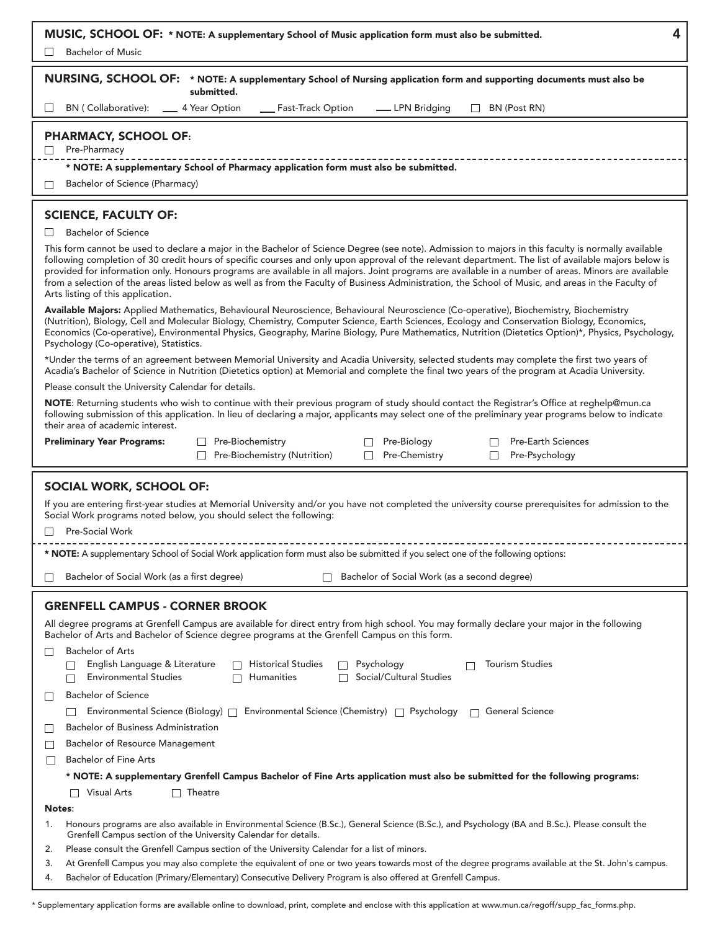| 4<br>MUSIC, SCHOOL OF: * NOTE: A supplementary School of Music application form must also be submitted.<br><b>Bachelor of Music</b>                                                                                                                                                                                                                                                                                                                                                                                                                                                                                                                                                                                                                                                                                                                                                                                                                                                                                                                                                                                                                                                                                                                                                                                                                                                                                                                                                                                                                                                                                                                                                                                                                                                                                                                                                                                                                                                                                                                                                                                           |
|-------------------------------------------------------------------------------------------------------------------------------------------------------------------------------------------------------------------------------------------------------------------------------------------------------------------------------------------------------------------------------------------------------------------------------------------------------------------------------------------------------------------------------------------------------------------------------------------------------------------------------------------------------------------------------------------------------------------------------------------------------------------------------------------------------------------------------------------------------------------------------------------------------------------------------------------------------------------------------------------------------------------------------------------------------------------------------------------------------------------------------------------------------------------------------------------------------------------------------------------------------------------------------------------------------------------------------------------------------------------------------------------------------------------------------------------------------------------------------------------------------------------------------------------------------------------------------------------------------------------------------------------------------------------------------------------------------------------------------------------------------------------------------------------------------------------------------------------------------------------------------------------------------------------------------------------------------------------------------------------------------------------------------------------------------------------------------------------------------------------------------|
| NURSING, SCHOOL OF: * NOTE: A supplementary School of Nursing application form and supporting documents must also be<br>submitted.                                                                                                                                                                                                                                                                                                                                                                                                                                                                                                                                                                                                                                                                                                                                                                                                                                                                                                                                                                                                                                                                                                                                                                                                                                                                                                                                                                                                                                                                                                                                                                                                                                                                                                                                                                                                                                                                                                                                                                                            |
| BN (Collaborative):<br>4 Year Option<br>__ Fast-Track Option<br>BN (Post RN)<br>__ LPN Bridging<br>$\Box$                                                                                                                                                                                                                                                                                                                                                                                                                                                                                                                                                                                                                                                                                                                                                                                                                                                                                                                                                                                                                                                                                                                                                                                                                                                                                                                                                                                                                                                                                                                                                                                                                                                                                                                                                                                                                                                                                                                                                                                                                     |
| <b>PHARMACY, SCHOOL OF:</b><br>Pre-Pharmacy<br>П<br>* NOTE: A supplementary School of Pharmacy application form must also be submitted.<br>Bachelor of Science (Pharmacy)<br>$\perp$                                                                                                                                                                                                                                                                                                                                                                                                                                                                                                                                                                                                                                                                                                                                                                                                                                                                                                                                                                                                                                                                                                                                                                                                                                                                                                                                                                                                                                                                                                                                                                                                                                                                                                                                                                                                                                                                                                                                          |
| <b>SCIENCE, FACULTY OF:</b><br><b>Bachelor of Science</b><br>ப<br>This form cannot be used to declare a major in the Bachelor of Science Degree (see note). Admission to majors in this faculty is normally available<br>following completion of 30 credit hours of specific courses and only upon approval of the relevant department. The list of available majors below is<br>provided for information only. Honours programs are available in all majors. Joint programs are available in a number of areas. Minors are available<br>from a selection of the areas listed below as well as from the Faculty of Business Administration, the School of Music, and areas in the Faculty of<br>Arts listing of this application.<br>Available Majors: Applied Mathematics, Behavioural Neuroscience, Behavioural Neuroscience (Co-operative), Biochemistry, Biochemistry<br>(Nutrition), Biology, Cell and Molecular Biology, Chemistry, Computer Science, Earth Sciences, Ecology and Conservation Biology, Economics,<br>Economics (Co-operative), Environmental Physics, Geography, Marine Biology, Pure Mathematics, Nutrition (Dietetics Option)*, Physics, Psychology,<br>Psychology (Co-operative), Statistics.<br>*Under the terms of an agreement between Memorial University and Acadia University, selected students may complete the first two years of<br>Acadia's Bachelor of Science in Nutrition (Dietetics option) at Memorial and complete the final two years of the program at Acadia University.<br>Please consult the University Calendar for details.<br>NOTE: Returning students who wish to continue with their previous program of study should contact the Registrar's Office at reghelp@mun.ca<br>following submission of this application. In lieu of declaring a major, applicants may select one of the preliminary year programs below to indicate<br>their area of academic interest.<br><b>Preliminary Year Programs:</b><br><b>Pre-Earth Sciences</b><br>Pre-Biochemistry<br>Pre-Biology<br>Pre-Chemistry<br>Pre-Biochemistry (Nutrition)<br>Pre-Psychology<br>$\Box$<br>$\Box$<br>$\Box$ |
| SOCIAL WORK, SCHOOL OF:<br>If you are entering first-year studies at Memorial University and/or you have not completed the university course prerequisites for admission to the<br>Social Work programs noted below, you should select the following:<br>Pre-Social Work<br>П<br>* NOTE: A supplementary School of Social Work application form must also be submitted if you select one of the following options:<br>Bachelor of Social Work (as a second degree)<br>Bachelor of Social Work (as a first degree)<br>П                                                                                                                                                                                                                                                                                                                                                                                                                                                                                                                                                                                                                                                                                                                                                                                                                                                                                                                                                                                                                                                                                                                                                                                                                                                                                                                                                                                                                                                                                                                                                                                                        |
|                                                                                                                                                                                                                                                                                                                                                                                                                                                                                                                                                                                                                                                                                                                                                                                                                                                                                                                                                                                                                                                                                                                                                                                                                                                                                                                                                                                                                                                                                                                                                                                                                                                                                                                                                                                                                                                                                                                                                                                                                                                                                                                               |
| <b>GRENFELL CAMPUS - CORNER BROOK</b><br>All degree programs at Grenfell Campus are available for direct entry from high school. You may formally declare your major in the following<br>Bachelor of Arts and Bachelor of Science degree programs at the Grenfell Campus on this form.<br><b>Bachelor of Arts</b><br>$\Box$<br><b>Tourism Studies</b><br>English Language & Literature<br>Historical Studies<br>Psychology<br><b>Environmental Studies</b><br>Social/Cultural Studies<br><b>Humanities</b><br><b>Bachelor of Science</b><br>П                                                                                                                                                                                                                                                                                                                                                                                                                                                                                                                                                                                                                                                                                                                                                                                                                                                                                                                                                                                                                                                                                                                                                                                                                                                                                                                                                                                                                                                                                                                                                                                 |
| Environmental Science (Biology) $\Box$ Environmental Science (Chemistry) $\Box$ Psychology<br><b>General Science</b><br>Bachelor of Business Administration<br>$\Box$<br><b>Bachelor of Resource Management</b><br>$\Box$<br><b>Bachelor of Fine Arts</b><br>$\Box$<br>* NOTE: A supplementary Grenfell Campus Bachelor of Fine Arts application must also be submitted for the following programs:<br><b>Visual Arts</b><br>Theatre                                                                                                                                                                                                                                                                                                                                                                                                                                                                                                                                                                                                                                                                                                                                                                                                                                                                                                                                                                                                                                                                                                                                                                                                                                                                                                                                                                                                                                                                                                                                                                                                                                                                                          |
| Notes:                                                                                                                                                                                                                                                                                                                                                                                                                                                                                                                                                                                                                                                                                                                                                                                                                                                                                                                                                                                                                                                                                                                                                                                                                                                                                                                                                                                                                                                                                                                                                                                                                                                                                                                                                                                                                                                                                                                                                                                                                                                                                                                        |
| Honours programs are also available in Environmental Science (B.Sc.), General Science (B.Sc.), and Psychology (BA and B.Sc.). Please consult the<br>1.<br>Grenfell Campus section of the University Calendar for details.<br>Please consult the Grenfell Campus section of the University Calendar for a list of minors.<br>2.<br>At Grenfell Campus you may also complete the equivalent of one or two years towards most of the degree programs available at the St. John's campus.<br>3.<br>Bachelor of Education (Primary/Elementary) Consecutive Delivery Program is also offered at Grenfell Campus.<br>4.                                                                                                                                                                                                                                                                                                                                                                                                                                                                                                                                                                                                                                                                                                                                                                                                                                                                                                                                                                                                                                                                                                                                                                                                                                                                                                                                                                                                                                                                                                              |

\* Supplementary application forms are available online to download, print, complete and enclose with this application at www.mun.ca/regoff/supp\_fac\_forms.php.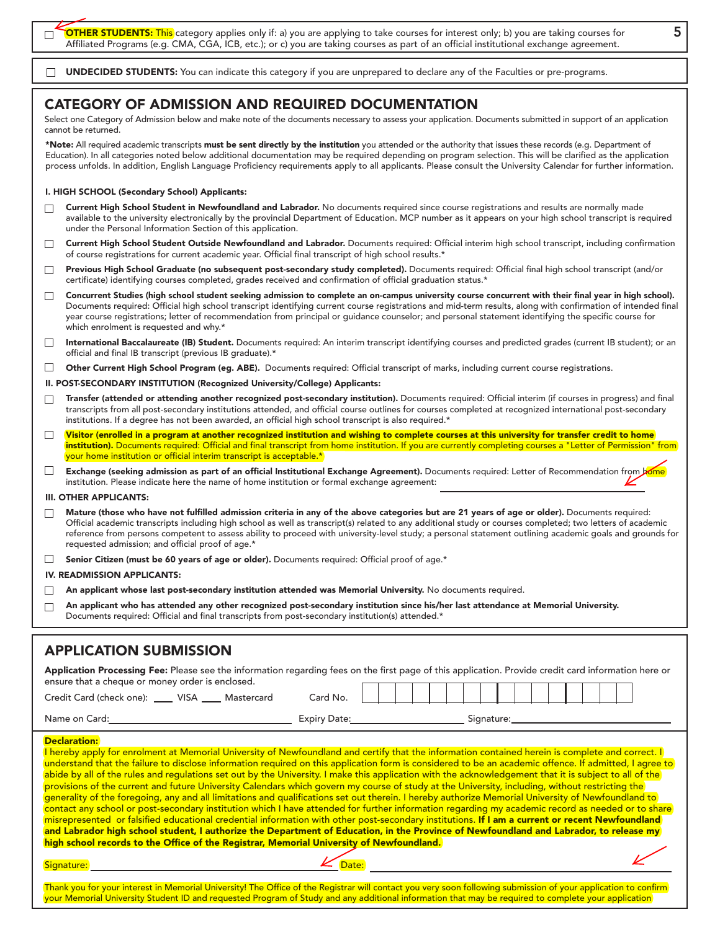**OTHER STUDENTS:** This category applies only if: a) you are applying to take courses for interest only; b) you are taking courses for Affiliated Programs (e.g. CMA, CGA, ICB, etc.); or c) you are taking courses as part of an official institutional exchange agreement.

**UNDECIDED STUDENTS:** You can indicate this category if you are unprepared to declare any of the Faculties or pre-programs. П

## **CATEGORY OF ADMISSION AND REQUIRED DOCUMENTATION**

Select one Category of Admission below and make note of the documents necessary to assess your application. Documents submitted in support of an application cannot be returned.

**\*Note:** All required academic transcripts **must be sent directly by the institution** you attended or the authority that issues these records (e.g. Department of Education). In all categories noted below additional documentation may be required depending on program selection. This will be clarified as the application process unfolds. In addition, English Language Proficiency requirements apply to all applicants. Please consult the University Calendar for further information.

#### **I. HIGH SCHOOL (Secondary School) Applicants:**

 $\Box$ 

- **Current High School Student in Newfoundland and Labrador.** No documents required since course registrations and results are normally made  $\Box$ available to the university electronically by the provincial Department of Education. MCP number as it appears on your high school transcript is required under the Personal Information Section of this application.
- **Current High School Student Outside Newfoundland and Labrador.** Documents required: Official interim high school transcript, including confirmation  $\Box$ of course registrations for current academic year. Official final transcript of high school results.\*
- **Previous High School Graduate (no subsequent post-secondary study completed).** Documents required: Official final high school transcript (and/or  $\Box$ certificate) identifying courses completed, grades received and confirmation of official graduation status.\*
- **Concurrent Studies (high school student seeking admission to complete an on-campus university course concurrent with their final year in high school).**  $\Box$ Documents required: Official high school transcript identifying current course registrations and mid-term results, along with confirmation of intended final year course registrations; letter of recommendation from principal or guidance counselor; and personal statement identifying the specific course for which enrolment is requested and why.\*
- **International Baccalaureate (IB) Student.** Documents required: An interim transcript identifying courses and predicted grades (current IB student); or an  $\Box$ official and final IB transcript (previous IB graduate).\*
- **Other Current High School Program (eg. ABE).** Documents required: Official transcript of marks, including current course registrations.  $\Box$
- **II. POST-SECONDARY INSTITUTION (Recognized University/College) Applicants:**
- **Transfer (attended or attending another recognized post-secondary institution).** Documents required: Official interim (if courses in progress) and final  $\Box$ transcripts from all post-secondary institutions attended, and official course outlines for courses completed at recognized international post-secondary institutions. If a degree has not been awarded, an official high school transcript is also required.\*
- **Visitor (enrolled in a program at another recognized institution and wishing to complete courses at this university for transfer credit to home**  $\Box$ institution). Documents required: Official and final transcript from home institution. If you are currently completing courses a "Letter of Permission" from your home institution or official interim transcript is acceptable.\*
- $\Box$ **Exchange (seeking admission as part of an official Institutional Exchange Agreement).** Documents required: Letter of Recommendation from bome institution. Please indicate here the name of home institution or formal exchange agreement:

#### **III. OTHER APPLICANTS:**

- **Mature (those who have not fulfilled admission criteria in any of the above categories but are 21 years of age or older).** Documents required: Official academic transcripts including high school as well as transcript(s) related to any additional study or courses completed; two letters of academic reference from persons competent to assess ability to proceed with university-level study; a personal statement outlining academic goals and grounds for requested admission; and official proof of age.\*
- $\Box$ **Senior Citizen (must be 60 years of age or older).** Documents required: Official proof of age.\*

#### **IV. READMISSION APPLICANTS:**

- **An applicant whose last post-secondary institution attended was Memorial University.** No documents required. П
- **An applicant who has attended any other recognized post-secondary institution since his/her last attendance at Memorial University.**  $\Box$ Documents required: Official and final transcripts from post-secondary institution(s) attended.\*

## **APPLICATION SUBMISSION**

| Application Processing Fee: Please see the information regarding fees on the first page of this application. Provide credit card information here or |            |          |  |  |  |  |  |  |  |  |
|------------------------------------------------------------------------------------------------------------------------------------------------------|------------|----------|--|--|--|--|--|--|--|--|
| ensure that a cheque or money order is enclosed.                                                                                                     |            |          |  |  |  |  |  |  |  |  |
| Credit Card (check one): _____ VISA                                                                                                                  | Mastercard | Card No. |  |  |  |  |  |  |  |  |

| $\sim$ | $\sim$ $\sim$ |  |
|--------|---------------|--|
|        |               |  |
|        |               |  |
|        |               |  |

| Name on Card: | <b>Expiry Date:</b> | Signature: |
|---------------|---------------------|------------|

**5**

#### **Declaration:**

|                                                                                          | I hereby apply for enrolment at Memorial University of Newfoundland and certify that the information contained herein is complete and correct. I       |  |
|------------------------------------------------------------------------------------------|--------------------------------------------------------------------------------------------------------------------------------------------------------|--|
|                                                                                          | understand that the failure to disclose information required on this application form is considered to be an academic offence. If admitted, I agree to |  |
|                                                                                          | abide by all of the rules and regulations set out by the University. I make this application with the acknowledgement that it is subject to all of the |  |
|                                                                                          | provisions of the current and future University Calendars which govern my course of study at the University, including, without restricting the        |  |
|                                                                                          | generality of the foregoing, any and all limitations and qualifications set out therein. I hereby authorize Memorial University of Newfoundland to     |  |
|                                                                                          | contact any school or post-secondary institution which I have attended for further information regarding my academic record as needed or to share      |  |
|                                                                                          | misrepresented or falsified educational credential information with other post-secondary institutions. If I am a current or recent Newfoundland        |  |
|                                                                                          | and Labrador high school student, I authorize the Department of Education, in the Province of Newfoundland and Labrador, to release my                 |  |
| high school records to the Office of the Registrar, Memorial University of Newfoundland. |                                                                                                                                                        |  |
|                                                                                          |                                                                                                                                                        |  |
| Signature:                                                                               |                                                                                                                                                        |  |

Thank you for your interest in Memorial University! The Office of the Registrar will contact you very soon following submission of your application to confirm your Memorial University Student ID and requested Program of Study and any additional information that may be required to complete your application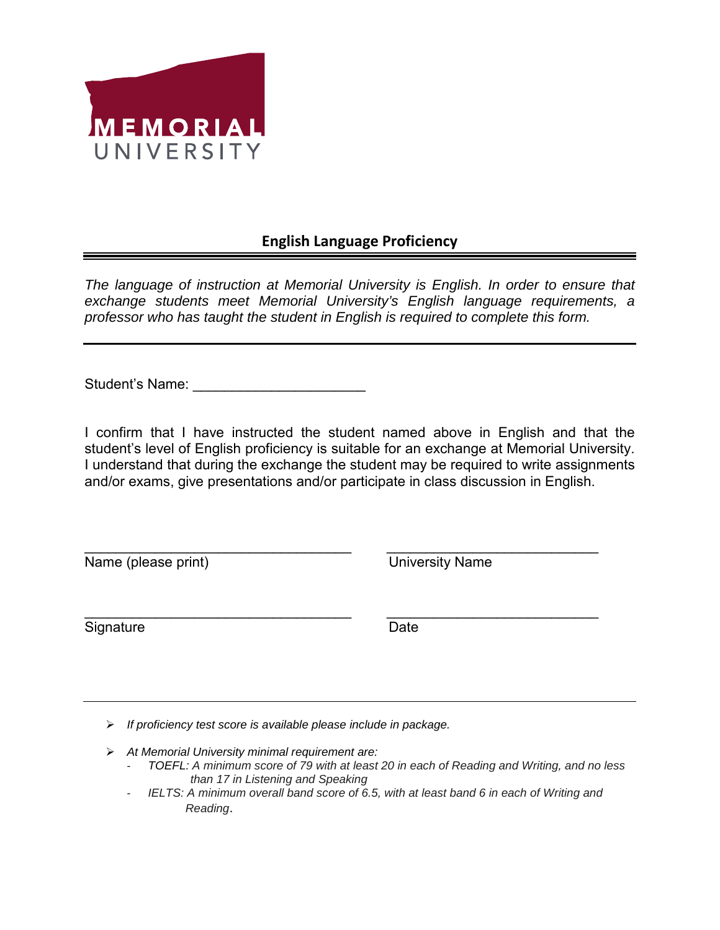

## **English Language Proficiency**

*The language of instruction at Memorial University is English. In order to ensure that exchange students meet Memorial University's English language requirements, a professor who has taught the student in English is required to complete this form.* 

Student's Name:

I confirm that I have instructed the student named above in English and that the student's level of English proficiency is suitable for an exchange at Memorial University. I understand that during the exchange the student may be required to write assignments and/or exams, give presentations and/or participate in class discussion in English.

\_\_\_\_\_\_\_\_\_\_\_\_\_\_\_\_\_\_\_\_\_\_\_\_\_\_\_\_\_\_\_\_\_\_ \_\_\_\_\_\_\_\_\_\_\_\_\_\_\_\_\_\_\_\_\_\_\_\_\_\_\_

Name (please print) University Name

Signature Date Date

\_\_\_\_\_\_\_\_\_\_\_\_\_\_\_\_\_\_\_\_\_\_\_\_\_\_\_\_\_\_\_\_\_\_ \_\_\_\_\_\_\_\_\_\_\_\_\_\_\_\_\_\_\_\_\_\_\_\_\_\_\_

- *If proficiency test score is available please include in package.*
- *At Memorial University minimal requirement are:*
	- *TOEFL: A minimum score of 79 with at least 20 in each of Reading and Writing, and no less than 17 in Listening and Speaking*
	- *IELTS: A minimum overall band score of 6.5, with at least band 6 in each of Writing and Reading*.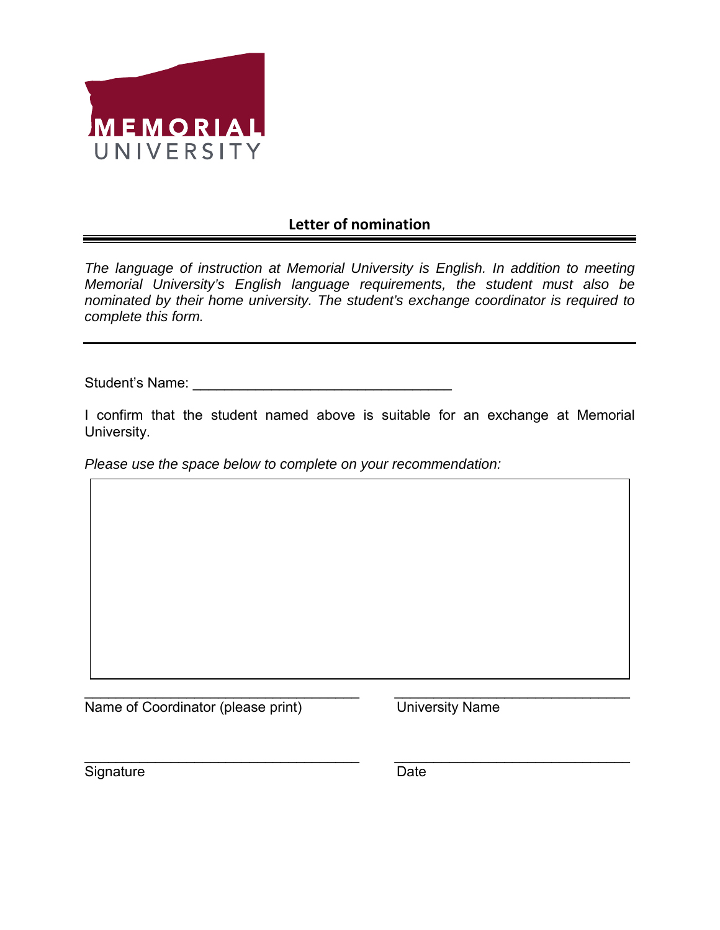

## **Letter of nomination**

*The language of instruction at Memorial University is English. In addition to meeting Memorial University's English language requirements, the student must also be nominated by their home university. The student's exchange coordinator is required to complete this form.* 

Student's Name: **Example 2018** 

I confirm that the student named above is suitable for an exchange at Memorial University.

*Please use the space below to complete on your recommendation:*

 $\overline{\phantom{a}}$  , and the contribution of the contribution of the contribution of the contribution of the contribution of the contribution of the contribution of the contribution of the contribution of the contribution of the Name of Coordinator (please print) University Name

 $\overline{\phantom{a}}$  , and the contribution of the contribution of the contribution of the contribution of the contribution of the contribution of the contribution of the contribution of the contribution of the contribution of the Signature Date Date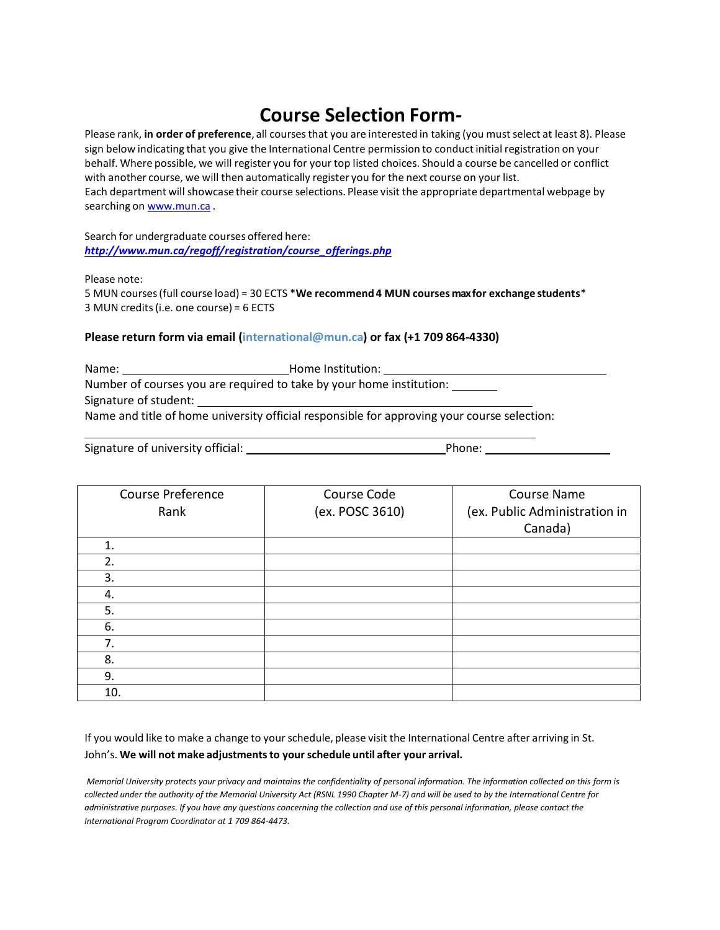# **Course Selection Form‐**

Please rank, **in order of preference**, all coursesthat you are interested in taking (you must select at least 8). Please sign below indicating that you give the International Centre permission to conductinitial registration on your behalf. Where possible, we will register you for your top listed choices. Should a course be cancelled or conflict with another course, we will then automatically register you for the next course on your list. Each department will showcase their course selections. Please visit the appropriate departmental webpage by searching on www.mun.ca.

Search for undergraduate courses offered here: *http://www.mun.ca/regoff/registration/course\_offerings.php*

Please note:

5 MUN courses(full course load) = 30 ECTS \***We recommend 4 MUN courses maxfor exchange students**\* 3 MUN credits(i.e. one course) = 6 ECTS

### **Please return form via email (international@mun.ca) or fax (+1 709 864‐4330)**

Name: Name: Name: Name: Name: Name: Name: Name: Name: Name: Name: Name: Name: Name: Name: Name: Name: Name: Name: Name: Name: Name: Name: Name: Name: Name: Name: Name: Name: Name: Name: Name: Name: Name: Name: Name: Name: Number of courses you are required to take by your home institution: Signature of student: Name and title of home university official responsible for approving your course selection:

Signature of university official:  $\blacksquare$ 

| Course Preference | Course Code     | <b>Course Name</b>            |
|-------------------|-----------------|-------------------------------|
| Rank              | (ex. POSC 3610) | (ex. Public Administration in |
|                   |                 | Canada)                       |
| 1.                |                 |                               |
| 2.                |                 |                               |
| 3.                |                 |                               |
| 4.                |                 |                               |
| 5.                |                 |                               |
| 6.                |                 |                               |
| 7.                |                 |                               |
| 8.                |                 |                               |
| 9.                |                 |                               |
| 10.               |                 |                               |

If you would like to make a change to yourschedule, please visit the International Centre after arriving in St. John's. **We will not make adjustmentsto your schedule until after your arrival.**

Memorial University protects your privacy and maintains the confidentiality of personal information. The information collected on this form is collected under the authority of the Memorial University Act (RSNL 1990 Chapter M-7) and will be used to by the International Centre for administrative purposes. If you have any questions concerning the collection and use of this personal information, please contact the *International Program Coordinator at 1 709 864‐4473.*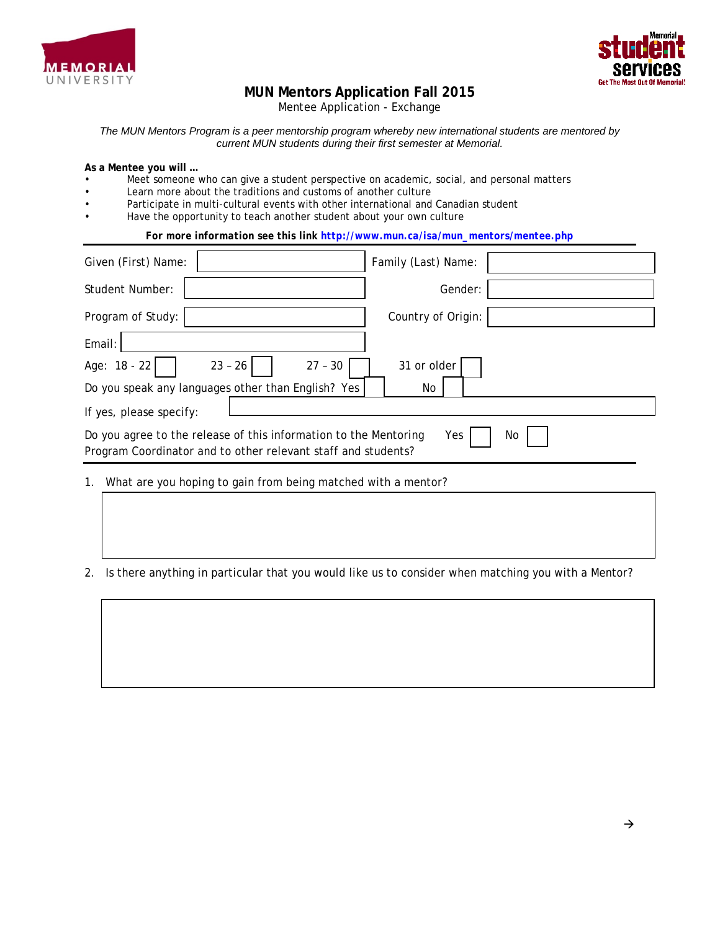



## **MUN Mentors Application Fall 2015**

Mentee Application - Exchange

*The MUN Mentors Program is a peer mentorship program whereby new international students are mentored by current MUN students during their first semester at Memorial.* 

**As a Mentee you will …** 

- Meet someone who can give a student perspective on academic, social, and personal matters
- Learn more about the traditions and customs of another culture
- Participate in multi-cultural events with other international and Canadian student
- Have the opportunity to teach another student about your own culture

*For more information see this link [http://www.mun.ca/isa/mun\\_mentors/mentee.php](http://www.mun.ca/isa/mun_mentors/mentee.php)*

| Given (First) Name:                                                                                                               | Family (Last) Name: |
|-----------------------------------------------------------------------------------------------------------------------------------|---------------------|
| <b>Student Number:</b>                                                                                                            | Gender:             |
| Program of Study:                                                                                                                 | Country of Origin:  |
| Email:                                                                                                                            |                     |
| Age: 18 - 22<br>$23 - 26$<br>$27 - 30$                                                                                            | 31 or older         |
| Do you speak any languages other than English? Yes                                                                                | No                  |
| If yes, please specify:                                                                                                           |                     |
| Do you agree to the release of this information to the Mentoring<br>Program Coordinator and to other relevant staff and students? | Yes<br>No.          |
| 1. What are you hoping to gain from being matched with a mentor?                                                                  |                     |

2. Is there anything in particular that you would like us to consider when matching you with a Mentor?